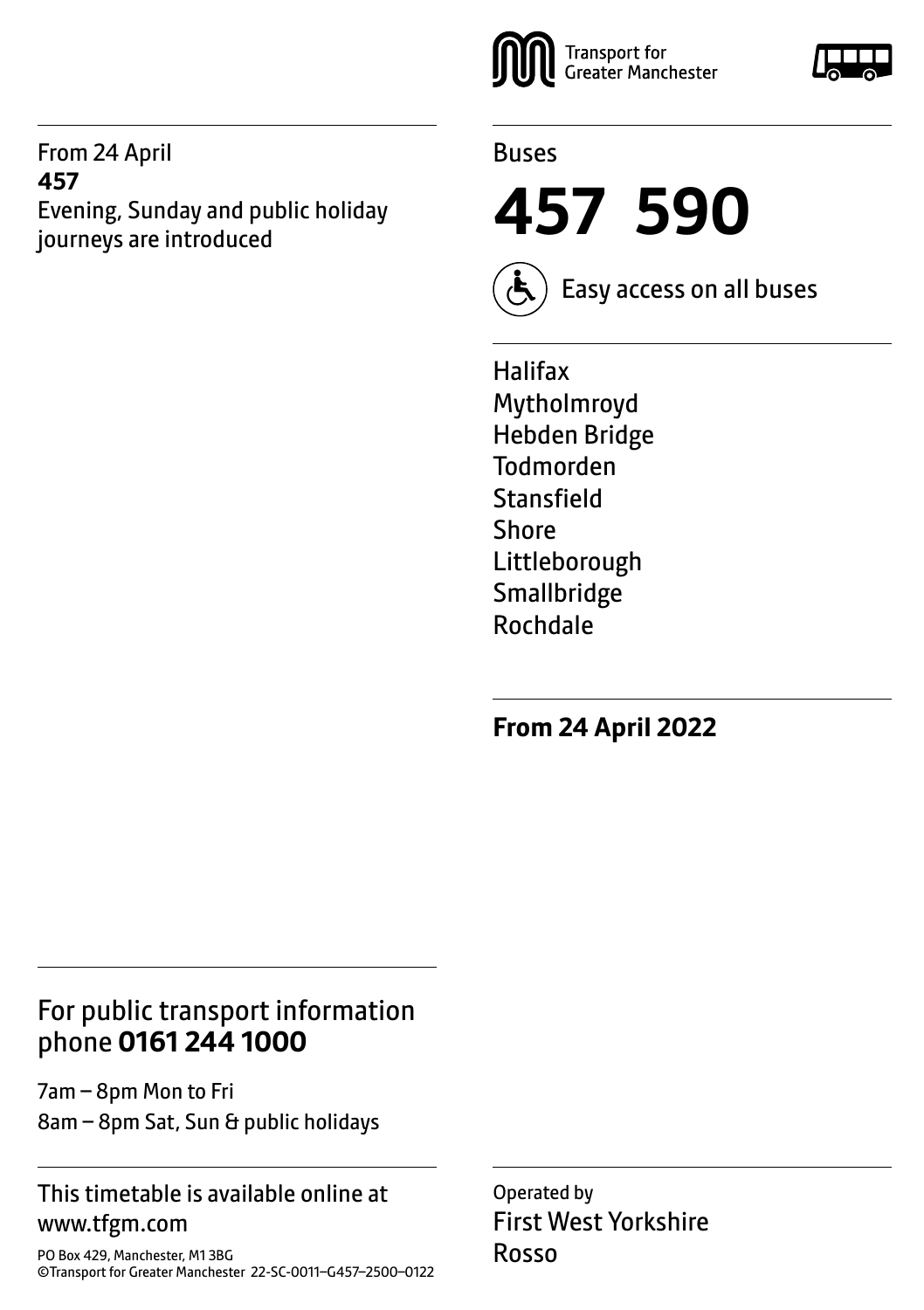From 24 April **457** Evening, Sunday and public holiday journeys are introduced



#### Buses

**457 590**



Easy access on all buses

Halifax Mytholmroyd Hebden Bridge Todmorden **Stansfield** Shore Littleborough **Smallbridge** Rochdale

**From 24 April 2022**

# For public transport information phone **0161 244 1000**

7am – 8pm Mon to Fri 8am – 8pm Sat, Sun & public holidays

#### This timetable is available online at www.tfgm.com

PO Box 429, Manchester, M1 3BG ©Transport for Greater Manchester 22-SC-0011–G457–2500–0122 Operated by First West Yorkshire Rosso

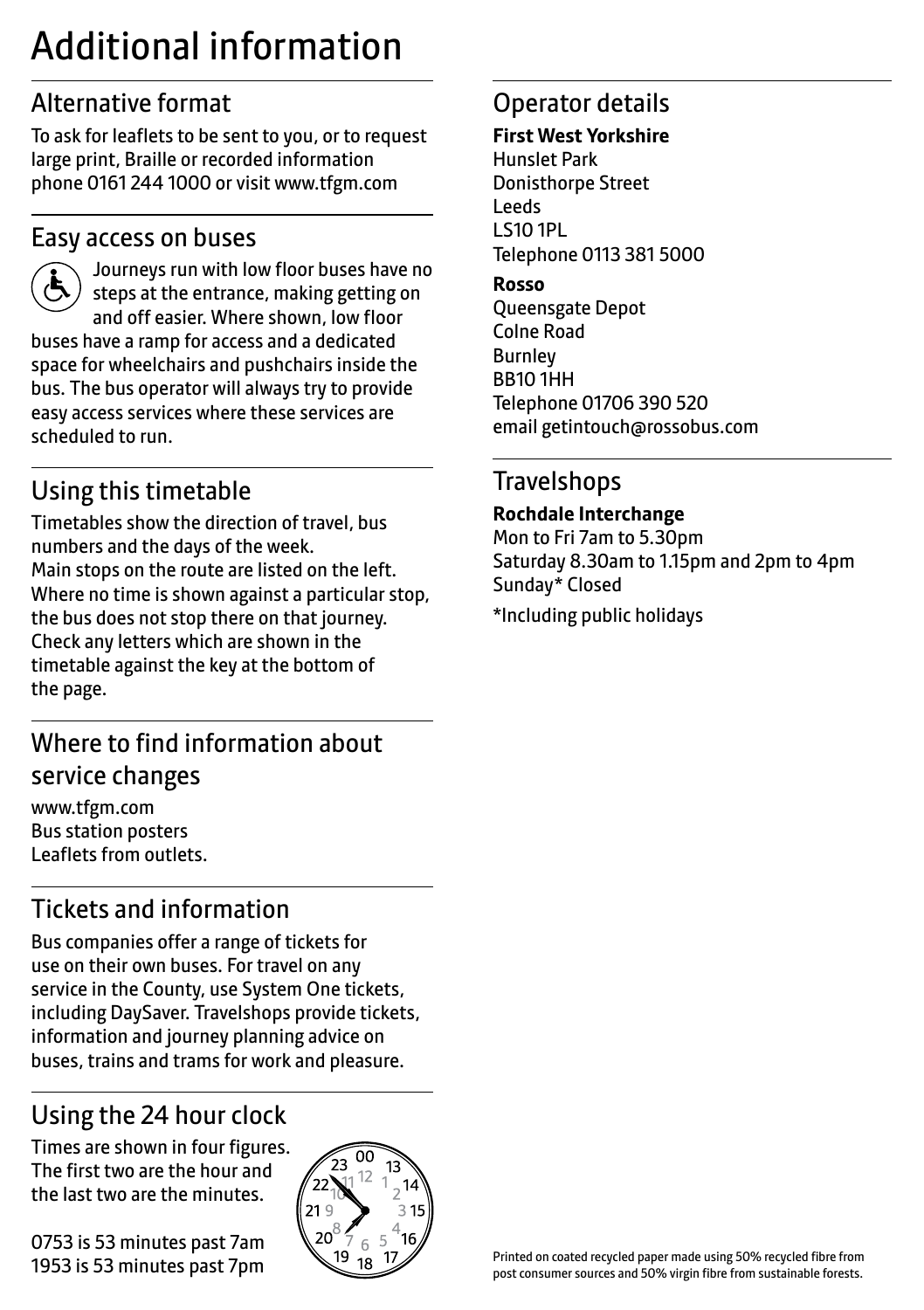# Additional information

# Alternative format

To ask for leaflets to be sent to you, or to request large print, Braille or recorded information phone 0161 244 1000 or visit www.tfgm.com

### Easy access on buses



 Journeys run with low floor buses have no steps at the entrance, making getting on and off easier. Where shown, low floor buses have a ramp for access and a dedicated space for wheelchairs and pushchairs inside the bus. The bus operator will always try to provide easy access services where these services are scheduled to run.

# Using this timetable

Timetables show the direction of travel, bus numbers and the days of the week. Main stops on the route are listed on the left. Where no time is shown against a particular stop, the bus does not stop there on that journey. Check any letters which are shown in the timetable against the key at the bottom of the page.

# Where to find information about service changes

www.tfgm.com Bus station posters Leaflets from outlets.

# Tickets and information

Bus companies offer a range of tickets for use on their own buses. For travel on any service in the County, use System One tickets, including DaySaver. Travelshops provide tickets, information and journey planning advice on buses, trains and trams for work and pleasure.

# Using the 24 hour clock

Times are shown in four figures. The first two are the hour and the last two are the minutes.

0753 is 53 minutes past 7am 1953 is 53 minutes past 7pm



# Operator details

#### **First West Yorkshire**

Hunslet Park Donisthorpe Street Leeds LS10 1PL Telephone 0113 381 5000

#### **Rosso**

Queensgate Depot Colne Road Burnley BB10 1HH Telephone 01706 390 520 email getintouch@rossobus.com

# **Travelshops**

**Rochdale Interchange**

Mon to Fri 7am to 5.30pm Saturday 8.30am to 1.15pm and 2pm to 4pm Sunday\* Closed

\*Including public holidays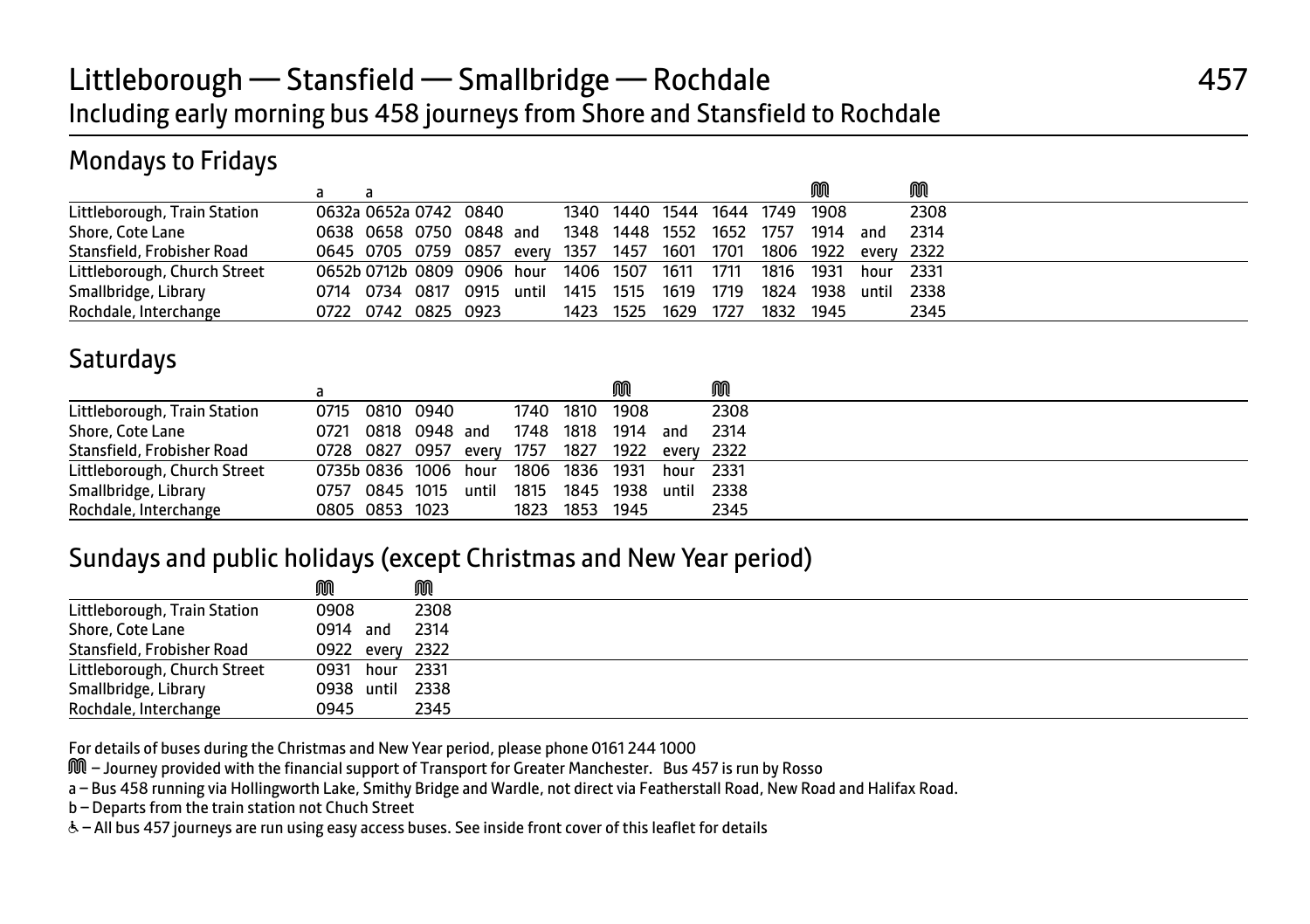# Littleborough — Stansfield — Smallbridge — Rochdale **Access 1986** 457 Including early morning bus 458 journeys from Shore and Stansfield to Rochdale

# Mondays to Fridays

|                              |                                                                    |  |                         |       |                               |           |      |           | M         |           | M          |
|------------------------------|--------------------------------------------------------------------|--|-------------------------|-------|-------------------------------|-----------|------|-----------|-----------|-----------|------------|
| Littleborough, Train Station | 0632a 0652a 0742 0840                                              |  |                         |       | 1340 1440 1544 1644 1749 1908 |           |      |           |           |           | 2308       |
| Shore, Cote Lane             |                                                                    |  | 0638 0658 0750 0848 and |       | 1348 1448 1552 1652 1757      |           |      |           | 1914      | ` and     | - 2314     |
| Stansfield, Frobisher Road   | 0645 0705 0759 0857 every 1357 1457 1601 1701 1806 1922 every 2322 |  |                         |       |                               |           |      |           |           |           |            |
| Littleborough, Church Street | 0652b 0712b 0809 0906 hour 1406 1507                               |  |                         |       |                               | 1611 1711 |      | 1816 1931 |           | hour 2331 |            |
| Smallbridge, Library         | 0714 0734 0817 0915                                                |  |                         | until | 1415 1515                     | 1619      | 1719 |           | 1824 1938 |           | until 2338 |
| Rochdale, Interchange        | 0722 0742 0825 0923                                                |  |                         |       | 1423 1525                     | 1629      | 1727 | 1832 1945 |           |           | 2345       |

### **Saturdays**

|                              |                      |                |                                |       |      |           |      |            | M    |  |
|------------------------------|----------------------|----------------|--------------------------------|-------|------|-----------|------|------------|------|--|
| Littleborough, Train Station |                      |                | 0715 0810 0940                 |       |      | 1740 1810 | 1908 |            | 2308 |  |
| Shore, Cote Lane             | 0721                 |                | 0818 0948 and                  |       | 1748 | 1818      | 1914 | and        | 2314 |  |
| Stansfield, Frobisher Road   |                      |                | 0728 0827 0957 every 1757 1827 |       |      |           | 1922 | everv 2322 |      |  |
| Littleborough, Church Street | 0735b 0836 1006 hour |                |                                |       |      | 1806 1836 | 1931 | hour       | 2331 |  |
| Smallbridge, Library         | 0757 0845 1015       |                |                                | until | 1815 | 1845      | 1938 | until 2338 |      |  |
| Rochdale, Interchange        |                      | 0805 0853 1023 |                                |       | 1823 | 1853      | 1945 |            | 2345 |  |

#### Sundays and public holidays (except Christmas and New Year period)

|                              | M               | M    |  |
|------------------------------|-----------------|------|--|
| Littleborough, Train Station | 0908            | 2308 |  |
| Shore, Cote Lane             | 0914 and        | 2314 |  |
| Stansfield, Frobisher Road   | 0922 every 2322 |      |  |
| Littleborough, Church Street | 0931 hour 2331  |      |  |
| Smallbridge, Library         | 0938 until 2338 |      |  |
| Rochdale, Interchange        | 0945            | 2345 |  |

For details of buses during the Christmas and New Year period, please phone 0161 244 1000

M – Journey provided with the financial support of Transport for Greater Manchester. Bus 457 is run by Rosso

a – Bus 458 running via Hollingworth Lake, Smithy Bridge and Wardle, not direct via Featherstall Road, New Road and Halifax Road.

b – Departs from the train station not Chuch Street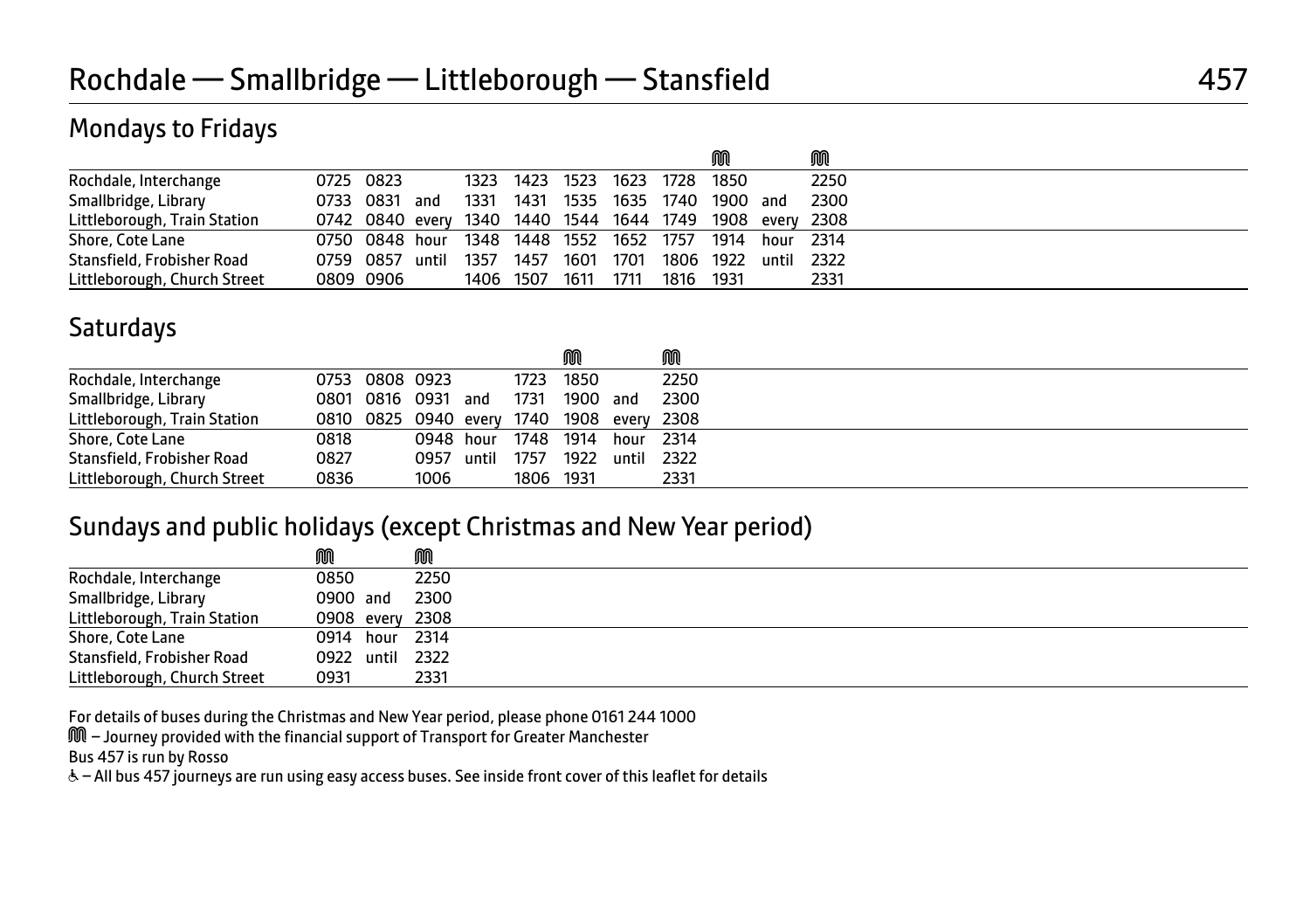### Mondays to Fridays

|                              |           |                     |       |      |           |           |      |           | M        |           | M                                                        |
|------------------------------|-----------|---------------------|-------|------|-----------|-----------|------|-----------|----------|-----------|----------------------------------------------------------|
| Rochdale, Interchange        | 0725 0823 |                     |       | 1323 | 1423 1523 |           | 1623 | 1728      | 1850     |           | 2250                                                     |
| Smallbridge, Library         |           | 0733 0831 and       |       | 1331 | 1431      | 1535      | 1635 | 1740      | 1900 and |           | 2300                                                     |
| Littleborough, Train Station |           |                     |       |      |           |           |      |           |          |           | 0742 0840 every 1340 1440 1544 1644 1749 1908 every 2308 |
| Shore, Cote Lane             |           | 0750 0848 hour 1348 |       |      |           | 1448 1552 | 1652 | 1757      | 1914     | hour 2314 |                                                          |
| Stansfield, Frobisher Road   |           | 0759 0857           | until | 1357 | 1457      | 1601      | 1701 | 1806 1922 |          | until     | 2322                                                     |
| Littleborough, Church Street |           | 0809 0906           |       |      | 1406 1507 | 1611      | 1711 | 1816      | 1931     |           | 2331                                                     |

# **Saturdays**

|                              |      |                |                    |                                           | M         |            | M    |  |
|------------------------------|------|----------------|--------------------|-------------------------------------------|-----------|------------|------|--|
| Rochdale, Interchange        |      | 0753 0808 0923 |                    |                                           | 1723 1850 |            | 2250 |  |
| Smallbridge, Library         |      |                | 0801 0816 0931 and | 1731                                      | 1900 and  |            | 2300 |  |
| Littleborough, Train Station |      |                |                    | 0810 0825 0940 every 1740 1908 every 2308 |           |            |      |  |
| Shore, Cote Lane             | 0818 |                | 0948 hour          | 1748 1914                                 |           | hour 2314  |      |  |
| Stansfield, Frobisher Road   | 0827 |                | 0957 until         | 1757                                      | 1922      | until 2322 |      |  |
| Littleborough, Church Street | 0836 |                | 1006               | 1806 1931                                 |           |            | 2331 |  |

#### Sundays and public holidays (except Christmas and New Year period)

|                              | M               |      |
|------------------------------|-----------------|------|
| Rochdale, Interchange        | 0850            | 2250 |
| Smallbridge, Library         | 0900 and        | 2300 |
| Littleborough, Train Station | 0908 every 2308 |      |
| Shore, Cote Lane             | 0914 hour 2314  |      |
| Stansfield, Frobisher Road   | 0922 until 2322 |      |
| Littleborough, Church Street | 0931            | 2331 |

For details of buses during the Christmas and New Year period, please phone 0161 244 1000

M – Journey provided with the financial support of Transport for Greater Manchester

Bus 457 is run by Rosso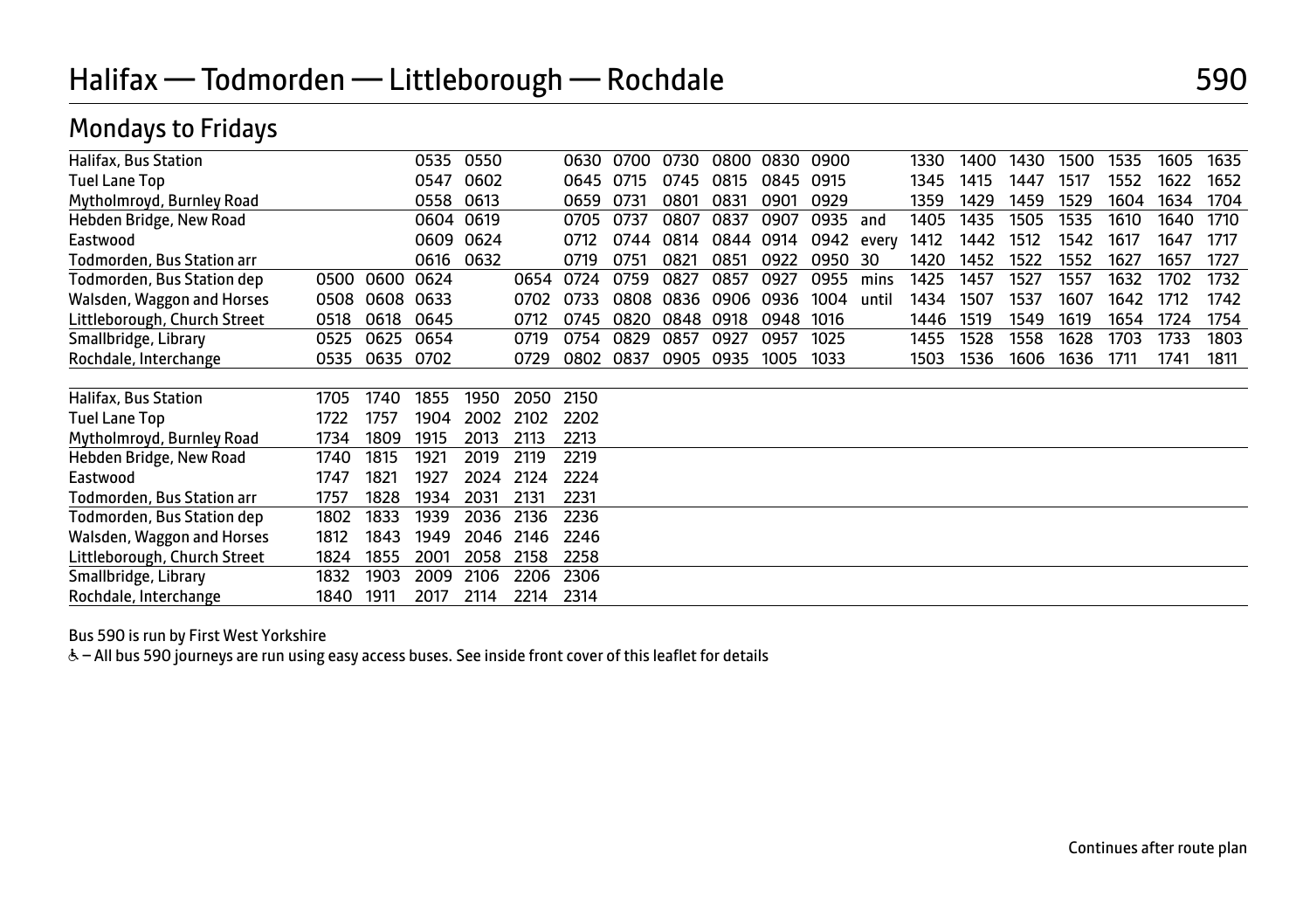# Halifax — Todmorden — Littleborough — Rochdale 590

## Mondays to Fridays

| Halifax, Bus Station         |      |      | 0535 | 0550 |      | 0630 | 0700 | 0730 | 0800 | 0830      | 0900       |       | 1330 | 1400 | 1430 | 1500 | 1535 | 1605 | 1635 |
|------------------------------|------|------|------|------|------|------|------|------|------|-----------|------------|-------|------|------|------|------|------|------|------|
| <b>Tuel Lane Top</b>         |      |      | 0547 | 0602 |      | 0645 | 0715 | 0745 | 0815 | 0845      | 0915       |       | 1345 | 1415 | 1447 | 1517 | 1552 | 1622 | 1652 |
| Mytholmroyd, Burnley Road    |      |      | 0558 | 0613 |      | 0659 | 0731 | 0801 | 0831 | 0901      | 0929       |       | 1359 | 1429 | 1459 | 1529 | 1604 | 1634 | 1704 |
| Hebden Bridge, New Road      |      |      | 0604 | 0619 |      | 0705 | 0737 | 0807 | 0837 | 0907      | 0935       | and   | 1405 | 1435 | 1505 | 1535 | 1610 | 1640 | 1710 |
| Eastwood                     |      |      | 0609 | 0624 |      | 0712 | 0744 | 0814 |      | 0844 0914 | 0942 every |       | 1412 | 1442 | 1512 | 1542 | 1617 | 1647 | 1717 |
| Todmorden, Bus Station arr   |      |      | 0616 | 0632 |      | 0719 | 0751 | 0821 | 0851 | 0922      | 0950       | 30    | 1420 | 1452 | 1522 | 1552 | 1627 | 1657 | 1727 |
| Todmorden, Bus Station dep   | 0500 | 0600 | 0624 |      | 0654 | 0724 | 0759 | 0827 | 0857 | 0927      | 0955       | mins  | 1425 | 1457 | 1527 | 1557 | 1632 | 1702 | 1732 |
| Walsden, Waggon and Horses   | 0508 | 0608 | 0633 |      | 0702 | 0733 | 0808 | 0836 | 0906 | 0936      | 1004       | until | 1434 | 1507 | 1537 | 1607 | 1642 | 1712 | 1742 |
| Littleborough, Church Street | 0518 | 0618 | 0645 |      | 0712 | 0745 | 0820 | 0848 | 0918 | 0948      | 1016       |       | 1446 | 1519 | 1549 | 1619 | 1654 | 1724 | 1754 |
| Smallbridge, Library         | 0525 | 0625 | 0654 |      | 0719 | 0754 | 0829 | 0857 | 0927 | 0957      | 1025       |       | 1455 | 1528 | 1558 | 1628 | 1703 | 1733 | 1803 |
| Rochdale, Interchange        | 0535 | 0635 | 0702 |      | 0729 | 0802 | 0837 | 0905 | 0935 | 1005      | 1033       |       | 1503 | 1536 | 1606 | 1636 | 1711 | 1741 | 1811 |
|                              |      |      |      |      |      |      |      |      |      |           |            |       |      |      |      |      |      |      |      |
| Halifax, Bus Station         | 1705 | 1740 | 1855 | 1950 | 2050 | 2150 |      |      |      |           |            |       |      |      |      |      |      |      |      |
| Tuel Lane Top                | 1722 | 1757 | 1904 | 2002 | 2102 | 2202 |      |      |      |           |            |       |      |      |      |      |      |      |      |
| Mytholmroyd, Burnley Road    | 1734 | 1809 | 1915 | 2013 | 2113 | 2213 |      |      |      |           |            |       |      |      |      |      |      |      |      |
| Hebden Bridge, New Road      | 1740 | 1815 | 1921 | 2019 | 2119 | 2219 |      |      |      |           |            |       |      |      |      |      |      |      |      |
| Eastwood                     | 1747 | 1821 | 1927 | 2024 | 2124 | 2224 |      |      |      |           |            |       |      |      |      |      |      |      |      |
| Todmorden, Bus Station arr   | 1757 | 1828 | 1934 | 2031 | 2131 | 2231 |      |      |      |           |            |       |      |      |      |      |      |      |      |
| Todmorden, Bus Station dep   | 1802 | 1833 | 1939 | 2036 | 2136 | 2236 |      |      |      |           |            |       |      |      |      |      |      |      |      |
| Walsden, Waggon and Horses   | 1812 | 1843 | 1949 | 2046 | 2146 | 2246 |      |      |      |           |            |       |      |      |      |      |      |      |      |
| Littleborough, Church Street | 1824 | 1855 | 2001 | 2058 | 2158 | 2258 |      |      |      |           |            |       |      |      |      |      |      |      |      |
| Smallbridge, Library         | 1832 | 1903 | 2009 | 2106 | 2206 | 2306 |      |      |      |           |            |       |      |      |      |      |      |      |      |
| Rochdale, Interchange        | 1840 | 1911 | 2017 | 2114 | 2214 | 2314 |      |      |      |           |            |       |      |      |      |      |      |      |      |

Bus 590 is run by First West Yorkshire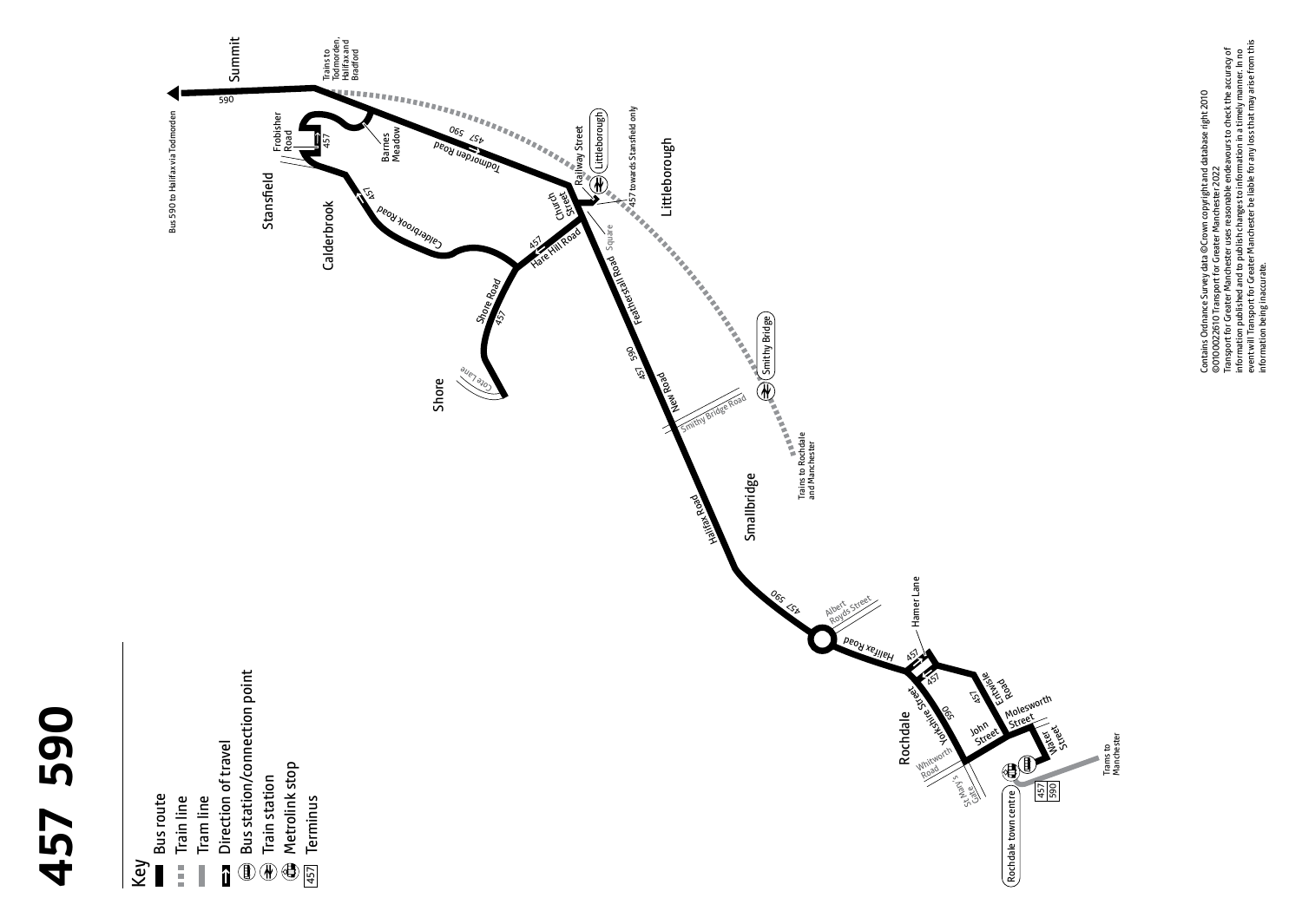



Contains Ordnance Survey data @Crown copyright and database right 2010<br>@0100022610 Transport for Greater Manchester 2022<br>Transport for Greater Manchester uses reasonable endeavours to check the accuracy of<br>informall Transp event will Transport for Greater Manchester be liable for any loss that may arise from this Transport for Greater Manchester uses reasonable endeavours to check the accuracy of information published and to publish changes to information in a timely manner. In no Contains Ordnance Survey data ©Crown copyright and database right 2010 ©0100022610 Transport for Greater Manchester 2022 information being inaccurate.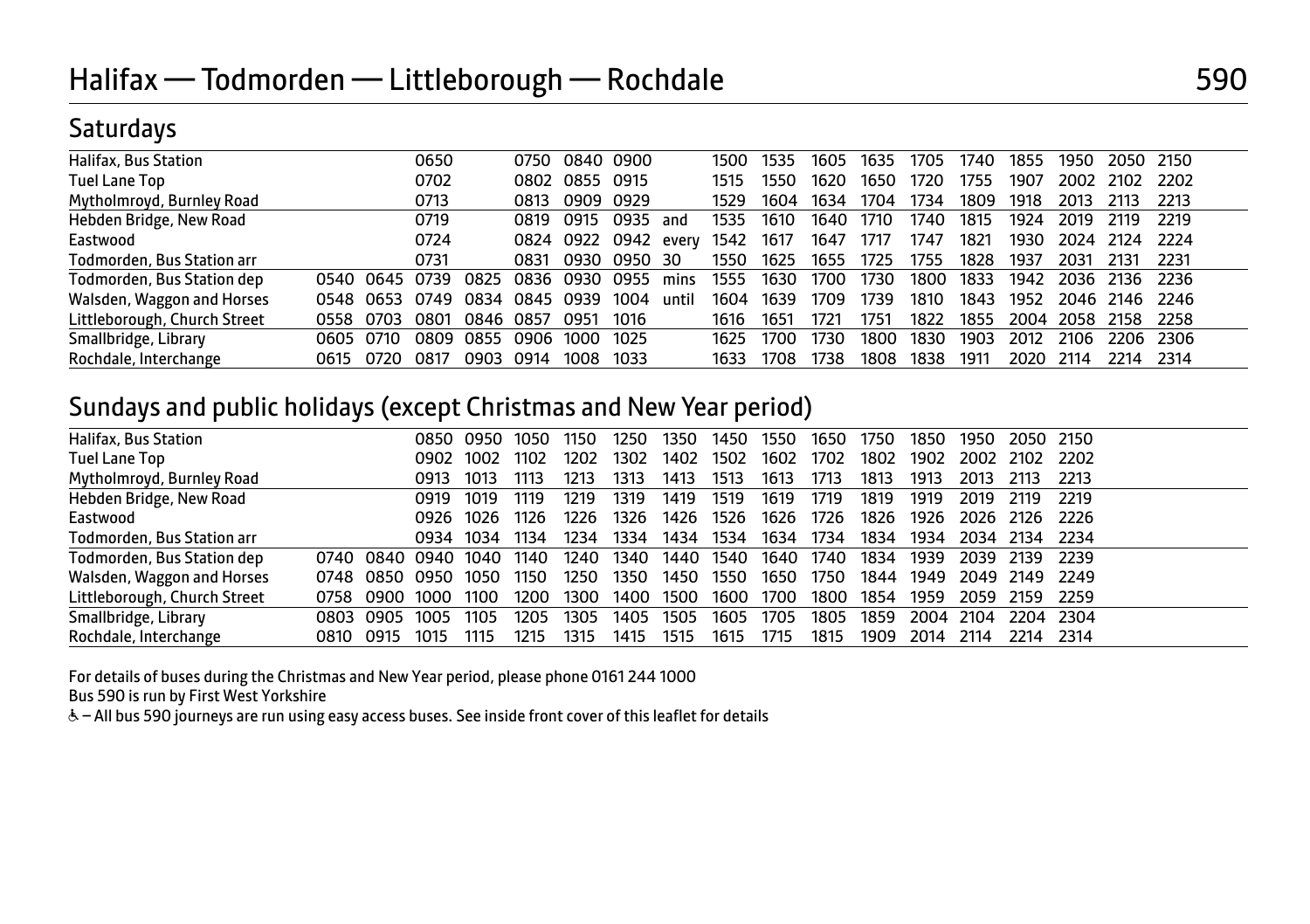# **Saturdays**

| Halifax, Bus Station         |      |           | 0650 |      | 0750 | 0840      | 0900       |       | 1500 | 1535 | 1605 | 1635 | 1705 | 1740 | 1855 | 1950      | 2050           | - 2150 |
|------------------------------|------|-----------|------|------|------|-----------|------------|-------|------|------|------|------|------|------|------|-----------|----------------|--------|
| Tuel Lane Top                |      |           | 0702 |      | 0802 | 0855 0915 |            |       | 1515 | 1550 | 1620 | 1650 | 1720 | 1755 | 1907 | 2002      | 2102           | - 2202 |
| Mytholmroyd, Burnley Road    |      |           | 0713 |      | 0813 | 0909      | 0929       |       | 1529 | 1604 | 1634 | 1704 | 1734 | 1809 | 1918 | 2013      | 2113           | 2213   |
| Hebden Bridge, New Road      |      |           | 0719 |      | 0819 | 0915      | 0935       | and   | 1535 | 1610 | 1640 | 1710 | 1740 | 1815 | 1924 | 2019      | 2119           | 2219   |
| Eastwood                     |      |           | 0724 |      |      | 0824 0922 | 0942 every |       | 1542 | 1617 | 1647 | 1717 | 1747 | 1821 | 1930 | 2024 2124 |                | - 2224 |
| Todmorden, Bus Station arr   |      |           | 0731 |      | 0831 | 0930.     | 0950       | -30   | 1550 | 1625 | 1655 | 1725 | 1755 | 1828 | 1937 | 2031      | 2131           | 2231   |
| Todmorden, Bus Station dep   | 0540 | 0645 0739 |      | 0825 | 0836 | 0930      | 0955       | mins  | 1555 | 1630 | 1700 | 1730 | 1800 | 1833 | 1942 | 2036      | 2136           | -2236  |
| Walsden, Waggon and Horses   | 0548 | 0653      | 0749 | 0834 | 0845 | 0939      | 1004       | until | 1604 | 1639 | 1709 | 1739 | 1810 | 1843 | 1952 |           | 2046 2146 2246 |        |
| Littleborough, Church Street | 0558 | 0703      | 0801 | 0846 | 0857 | 0951      | 1016       |       | 1616 | 1651 | 1721 | 1751 | 1822 | 1855 | 2004 | 2058      | 2158           | 2258   |
| Smallbridge, Library         | 0605 | 0710      | 0809 | 0855 | 0906 | 1000      | 1025       |       | 1625 | 1700 | 1730 | 1800 | 1830 | 1903 | 2012 | 2106      | 2206           | -2306  |
| Rochdale, Interchange        | 0615 | 0720      | 0817 | 0903 | 0914 | 1008      | 1033       |       | 1633 | 1708 | 1738 | 1808 | 1838 | 1911 | 2020 | 2114      | 2214           | 2314   |

# Sundays and public holidays (except Christmas and New Year period)

| Halifax, Bus Station         |      |           |                     | 0850 0950 | 1050  | 1150 | 1250 | 1350      | 1450      | 1550      | 1650 | 1750 | 1850 | 1950      | 2050 2150      |           |
|------------------------------|------|-----------|---------------------|-----------|-------|------|------|-----------|-----------|-----------|------|------|------|-----------|----------------|-----------|
| <b>Tuel Lane Top</b>         |      |           | 0902                | 1002      | 1102  | 1202 | 1302 | 1402      | 1502      | 1602      | 1702 | 1802 | 1902 |           | 2002 2102      | - 2202    |
| Mytholmroyd, Burnley Road    |      |           | 0913                | 1013      | 1113  | 1213 | 1313 | 1413      | 1513      | 1613      | 1713 | 1813 | 1913 | 2013      | 2113           | -2213     |
| Hebden Bridge, New Road      |      |           | 0919                | 1019      | 1119  | 1219 | 1319 | 1419      | 1519      | 1619      | 1719 | 1819 | 1919 | 2019      | 2119           | -2219     |
| Eastwood                     |      |           | 0926 1026           |           | 1126. | 1226 | 1326 | 1426      | 1526      | 1626 1726 |      | 1826 | 1926 |           | 2026 2126 2226 |           |
| Todmorden, Bus Station arr   |      |           |                     | 0934 1034 | 1134  | 1234 | 1334 |           | 1434 1534 | 1634      | 1734 | 1834 | 1934 | 2034 2134 |                | - 2234    |
| Todmorden, Bus Station dep   |      |           | 0740 0840 0940 1040 |           | 1140  | 1240 | 1340 | 1440 1540 |           | 1640 1740 |      | 1834 | 1939 | 2039      | - 2139         | - 2239    |
| Walsden, Waggon and Horses   |      |           | 0748 0850 0950      | 1050      | 1150  | 1250 | 1350 | 1450      | 1550      | 1650      | 1750 | 1844 | 1949 |           | 2049 2149 2249 |           |
| Littleborough, Church Street |      |           | 0758 0900 1000      | 1100      | 1200  | 1300 | 1400 | 1500      | 1600 1700 |           | 1800 | 1854 | 1959 | 2059      | 2159           | - 2259    |
| Smallbridge, Library         |      | 0803 0905 | 1005                | 1105      | 1205  | 1305 | 1405 | 1505      | 1605      | 1705      | 1805 | 1859 | 2004 | 2104      |                | 2204 2304 |
| Rochdale, Interchange        | 0810 | 0915      | 1015                | 1115      | 1215  | 1315 | 1415 | 1515      | 1615      | 1715      | 1815 | 1909 | 2014 | 2114      | 2214           | 2314      |

For details of buses during the Christmas and New Year period, please phone 0161 244 1000

Bus 590 is run by First West Yorkshire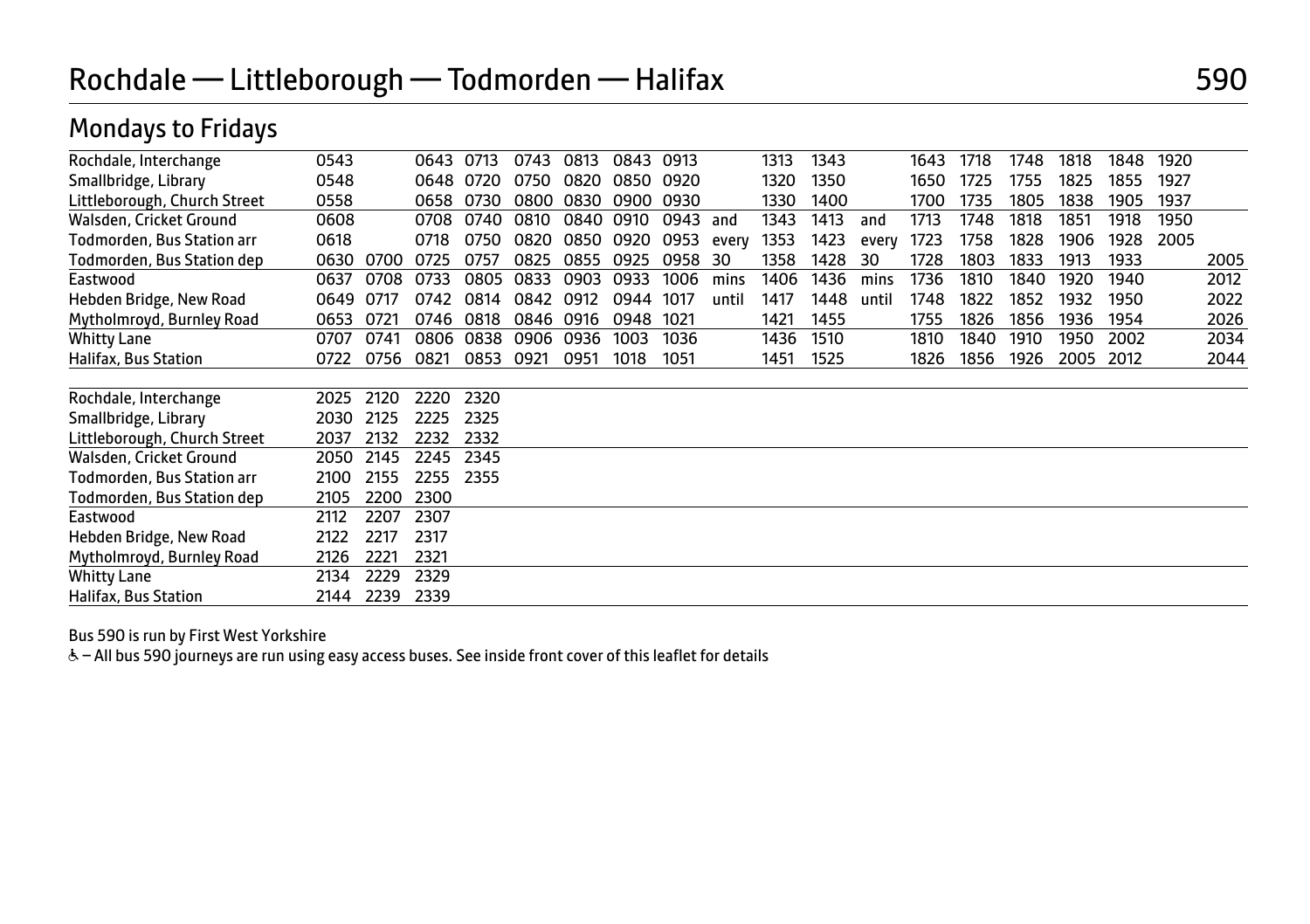| Rochdale, Interchange        | 0543 |      | 0643 | 0713 | 0743 | 0813 | 0843 | 0913 |       | 1313 | 1343 |       | 1643 | 1718 | 1748 | 1818 | 1848 | 1920 |      |
|------------------------------|------|------|------|------|------|------|------|------|-------|------|------|-------|------|------|------|------|------|------|------|
| Smallbridge, Library         | 0548 |      | 0648 | 0720 | 0750 | 0820 | 0850 | 0920 |       | 1320 | 1350 |       | 1650 | 1725 | 1755 | 1825 | 1855 | 1927 |      |
| Littleborough, Church Street | 0558 |      | 0658 | 0730 | 0800 | 0830 | 0900 | 0930 |       | 1330 | 1400 |       | 1700 | 1735 | 1805 | 1838 | 1905 | 1937 |      |
| Walsden, Cricket Ground      | 0608 |      | 0708 | 0740 | 0810 | 0840 | 0910 | 0943 | and   | 1343 | 1413 | and   | 1713 | 1748 | 1818 | 1851 | 1918 | 1950 |      |
| Todmorden. Bus Station arr   | 0618 |      | 0718 | 0750 | 0820 | 0850 | 0920 | 0953 | every | 1353 | 1423 | every | 1723 | 1758 | 1828 | 1906 | 1928 | 2005 |      |
| Todmorden, Bus Station dep   | 0630 | 0700 | 0725 | 0757 | 0825 | 0855 | 0925 | 0958 | 30    | 1358 | 1428 | 30    | 1728 | 1803 | 1833 | 1913 | 1933 |      | 2005 |
| Eastwood                     | 0637 | 0708 | 0733 | 0805 | 0833 | 0903 | 0933 | 1006 | mins  | 1406 | 1436 | mins  | 1736 | 1810 | 1840 | 1920 | 1940 |      | 2012 |
| Hebden Bridge, New Road      | 0649 | 0717 | 0742 | 0814 | 0842 | 0912 | 0944 | 1017 | until | 1417 | 1448 | until | 1748 | 1822 | 1852 | 1932 | 1950 |      | 2022 |
| Mytholmroyd, Burnley Road    | 0653 | 0721 | 0746 | 0818 | 0846 | 0916 | 0948 | 1021 |       | 1421 | 1455 |       | 1755 | 1826 | 1856 | 1936 | 1954 |      | 2026 |
| Whitty Lane                  | 0707 | 0741 | 0806 | 0838 | 0906 | 0936 | 1003 | 1036 |       | 1436 | 1510 |       | 1810 | 1840 | 1910 | 1950 | 2002 |      | 2034 |
| Halifax, Bus Station         | 0722 | 0756 | 0821 | 0853 | 0921 | 0951 | 1018 | 1051 |       | 1451 | 1525 |       | 1826 | 1856 | 1926 | 2005 | 2012 |      | 2044 |
|                              |      |      |      |      |      |      |      |      |       |      |      |       |      |      |      |      |      |      |      |
| Rochdale, Interchange        | 2025 | 2120 | 2220 | 2320 |      |      |      |      |       |      |      |       |      |      |      |      |      |      |      |
| Smallbridge, Library         | 2030 | 2125 | 2225 | 2325 |      |      |      |      |       |      |      |       |      |      |      |      |      |      |      |
| Littleborough, Church Street | 2037 | 2132 | 2232 | 2332 |      |      |      |      |       |      |      |       |      |      |      |      |      |      |      |
| Walsden, Cricket Ground      | 2050 | 2145 | 2245 | 2345 |      |      |      |      |       |      |      |       |      |      |      |      |      |      |      |
| Todmorden, Bus Station arr   | 2100 | 2155 | 2255 | 2355 |      |      |      |      |       |      |      |       |      |      |      |      |      |      |      |
| Todmorden, Bus Station dep   | 2105 | 2200 | 2300 |      |      |      |      |      |       |      |      |       |      |      |      |      |      |      |      |
| Eastwood                     | 2112 | 2207 | 2307 |      |      |      |      |      |       |      |      |       |      |      |      |      |      |      |      |
| Hebden Bridge, New Road      | 2122 | 2217 | 2317 |      |      |      |      |      |       |      |      |       |      |      |      |      |      |      |      |
| Mytholmroyd, Burnley Road    | 2126 | 2221 | 2321 |      |      |      |      |      |       |      |      |       |      |      |      |      |      |      |      |
| Whitty Lane                  | 2134 | 2229 | 2329 |      |      |      |      |      |       |      |      |       |      |      |      |      |      |      |      |
| Halifax, Bus Station         | 2144 | 2239 | 2339 |      |      |      |      |      |       |      |      |       |      |      |      |      |      |      |      |

Bus 590 is run by First West Yorkshire

Mondays to Fridays